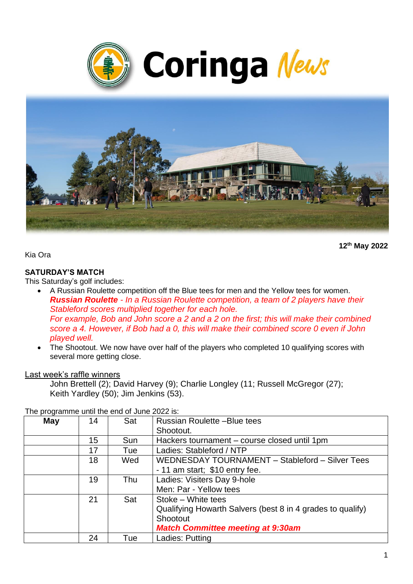



**12th May 2022**

Kia Ora

### **SATURDAY'S MATCH**

This Saturday's golf includes:

- A Russian Roulette competition off the Blue tees for men and the Yellow tees for women. *Russian Roulette - In a Russian Roulette competition, a team of 2 players have their Stableford scores multiplied together for each hole. For example, Bob and John score a 2 and a 2 on the first; this will make their combined score a 4. However, if Bob had a 0, this will make their combined score 0 even if John played well.*
- The Shootout. We now have over half of the players who completed 10 qualifying scores with several more getting close.

#### Last week's raffle winners

John Brettell (2); David Harvey (9); Charlie Longley (11; Russell McGregor (27); Keith Yardley (50); Jim Jenkins (53).

| <b>May</b> | 14 | Sat | <b>Russian Roulette -Blue tees</b>                         |
|------------|----|-----|------------------------------------------------------------|
|            |    |     | Shootout.                                                  |
|            | 15 | Sun | Hackers tournament – course closed until 1pm               |
|            | 17 | Tue | Ladies: Stableford / NTP                                   |
|            | 18 | Wed | WEDNESDAY TOURNAMENT - Stableford - Silver Tees            |
|            |    |     | - 11 am start; \$10 entry fee.                             |
|            | 19 | Thu | Ladies: Visiters Day 9-hole                                |
|            |    |     | Men: Par - Yellow tees                                     |
|            | 21 | Sat | Stoke - White tees                                         |
|            |    |     | Qualifying Howarth Salvers (best 8 in 4 grades to qualify) |
|            |    |     | Shootout                                                   |
|            |    |     | <b>Match Committee meeting at 9:30am</b>                   |
|            | 24 | Tue | Ladies: Putting                                            |

The programme until the end of June 2022 is: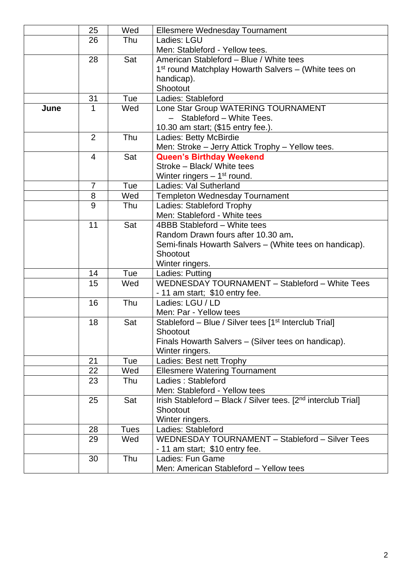|      | 25             | Wed         | <b>Ellesmere Wednesday Tournament</b>                                     |
|------|----------------|-------------|---------------------------------------------------------------------------|
|      | 26             | Thu         | Ladies: LGU                                                               |
|      |                |             | Men: Stableford - Yellow tees.                                            |
|      | 28             | Sat         | American Stableford - Blue / White tees                                   |
|      |                |             | 1 <sup>st</sup> round Matchplay Howarth Salvers – (White tees on          |
|      |                |             | handicap).                                                                |
|      |                |             | Shootout                                                                  |
|      | 31             | Tue         | Ladies: Stableford                                                        |
| June | 1              | Wed         | Lone Star Group WATERING TOURNAMENT                                       |
|      |                |             | Stableford - White Tees.<br>$\overline{\phantom{0}}$                      |
|      |                |             | 10.30 am start; (\$15 entry fee.).                                        |
|      | $\overline{2}$ | Thu         | Ladies: Betty McBirdie                                                    |
|      |                |             | Men: Stroke - Jerry Attick Trophy - Yellow tees.                          |
|      | 4              | Sat         | <b>Queen's Birthday Weekend</b>                                           |
|      |                |             | Stroke - Black/ White tees                                                |
|      |                |             | Winter ringers $-1st$ round.                                              |
|      | $\overline{7}$ | Tue         | Ladies: Val Sutherland                                                    |
|      | 8              | Wed         | <b>Templeton Wednesday Tournament</b>                                     |
|      | 9              | Thu         | Ladies: Stableford Trophy                                                 |
|      |                |             | Men: Stableford - White tees                                              |
|      | 11             | Sat         | 4BBB Stableford - White tees                                              |
|      |                |             | Random Drawn fours after 10.30 am.                                        |
|      |                |             | Semi-finals Howarth Salvers – (White tees on handicap).                   |
|      |                |             | Shootout                                                                  |
|      |                |             | Winter ringers.                                                           |
|      | 14             | Tue         | Ladies: Putting                                                           |
|      | 15             | Wed         | WEDNESDAY TOURNAMENT - Stableford - White Tees                            |
|      |                |             | - 11 am start; \$10 entry fee.                                            |
|      | 16             | Thu         | Ladies: LGU / LD                                                          |
|      |                |             | Men: Par - Yellow tees                                                    |
|      | 18             | Sat         | Stableford - Blue / Silver tees [1 <sup>st</sup> Interclub Trial]         |
|      |                |             | Shootout                                                                  |
|      |                |             | Finals Howarth Salvers - (Silver tees on handicap).                       |
|      |                |             | Winter ringers.                                                           |
|      | 21             | Tue         | Ladies: Best nett Trophy                                                  |
|      | 22             | Wed         | <b>Ellesmere Watering Tournament</b>                                      |
|      | 23             | Thu         | Ladies: Stableford                                                        |
|      |                |             | Men: Stableford - Yellow tees                                             |
|      | 25             | Sat         | Irish Stableford - Black / Silver tees. [2 <sup>nd</sup> interclub Trial] |
|      |                |             | Shootout                                                                  |
|      |                |             | Winter ringers.                                                           |
|      | 28             | <b>Tues</b> | Ladies: Stableford<br>WEDNESDAY TOURNAMENT - Stableford - Silver Tees     |
|      | 29             | Wed         |                                                                           |
|      |                |             | - 11 am start; \$10 entry fee.                                            |
|      | 30             | Thu         | Ladies: Fun Game                                                          |
|      |                |             | Men: American Stableford - Yellow tees                                    |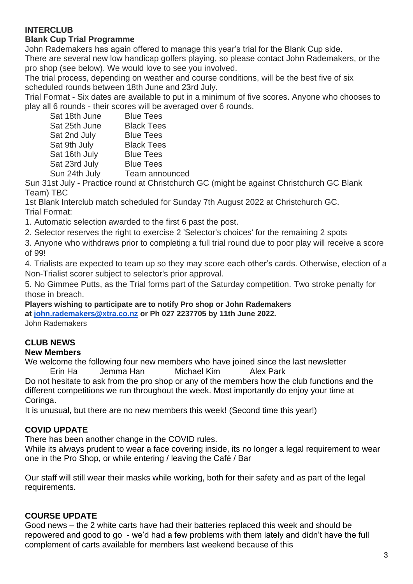# **INTERCLUB**

### **Blank Cup Trial Programme**

John Rademakers has again offered to manage this year's trial for the Blank Cup side.

There are several new low handicap golfers playing, so please contact John Rademakers, or the pro shop (see below). We would love to see you involved.

The trial process, depending on weather and course conditions, will be the best five of six scheduled rounds between 18th June and 23rd July.

Trial Format - Six dates are available to put in a minimum of five scores. Anyone who chooses to play all 6 rounds - their scores will be averaged over 6 rounds.

| Sat 18th June | <b>Blue Tees</b>  |
|---------------|-------------------|
| Sat 25th June | <b>Black Tees</b> |
| Sat 2nd July  | <b>Blue Tees</b>  |
| Sat 9th July  | <b>Black Tees</b> |
| Sat 16th July | <b>Blue Tees</b>  |
| Sat 23rd July | <b>Blue Tees</b>  |
| Sun 24th July | Team announced    |
|               |                   |

Sun 31st July - Practice round at Christchurch GC (might be against Christchurch GC Blank Team) TBC

1st Blank Interclub match scheduled for Sunday 7th August 2022 at Christchurch GC. Trial Format:

1. Automatic selection awarded to the first 6 past the post.

2. Selector reserves the right to exercise 2 'Selector's choices' for the remaining 2 spots

3. Anyone who withdraws prior to completing a full trial round due to poor play will receive a score of 99!

4. Trialists are expected to team up so they may score each other's cards. Otherwise, election of a Non-Trialist scorer subject to selector's prior approval.

5. No Gimmee Putts, as the Trial forms part of the Saturday competition. Two stroke penalty for those in breach.

**Players wishing to participate are to notify Pro shop or John Rademakers** 

**at [john.rademakers@xtra.co.nz](mailto:john.rademakers@xtra.co.nz) or Ph 027 2237705 by 11th June 2022.**

John Rademakers

# **CLUB NEWS**

#### **New Members**

We welcome the following four new members who have joined since the last newsletter Erin Ha Jemma Han Michael Kim Alex Park Do not hesitate to ask from the pro shop or any of the members how the club functions and the

different competitions we run throughout the week. Most importantly do enjoy your time at Coringa.

It is unusual, but there are no new members this week! (Second time this year!)

# **COVID UPDATE**

There has been another change in the COVID rules.

While its always prudent to wear a face covering inside, its no longer a legal requirement to wear one in the Pro Shop, or while entering / leaving the Café / Bar

Our staff will still wear their masks while working, both for their safety and as part of the legal requirements.

# **COURSE UPDATE**

Good news – the 2 white carts have had their batteries replaced this week and should be repowered and good to go - we'd had a few problems with them lately and didn't have the full complement of carts available for members last weekend because of this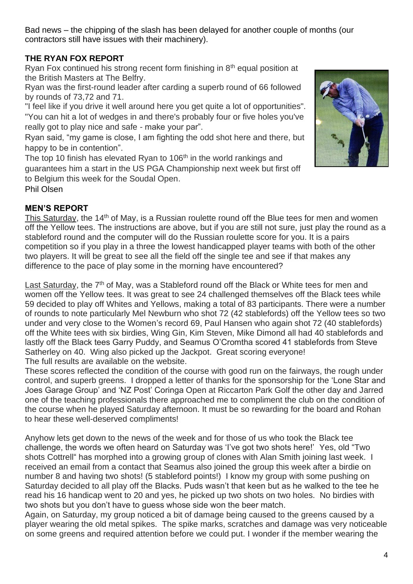Bad news – the chipping of the slash has been delayed for another couple of months (our contractors still have issues with their machinery).

# **THE RYAN FOX REPORT**

Ryan Fox continued his strong recent form finishing in 8th equal position at the British Masters at The Belfry.

Ryan was the first-round leader after carding a superb round of 66 followed by rounds of 73,72 and 71.

"I feel like if you drive it well around here you get quite a lot of opportunities". "You can hit a lot of wedges in and there's probably four or five holes you've really got to play nice and safe - make your par".

Ryan said, "my game is close, I am fighting the odd shot here and there, but happy to be in contention".

The top 10 finish has elevated Ryan to 106<sup>th</sup> in the world rankings and guarantees him a start in the US PGA Championship next week but first off to Belgium this week for the Soudal Open.



# **MEN'S REPORT**

This Saturday, the 14<sup>th</sup> of May, is a Russian roulette round off the Blue tees for men and women off the Yellow tees. The instructions are above, but if you are still not sure, just play the round as a stableford round and the computer will do the Russian roulette score for you. It is a pairs competition so if you play in a three the lowest handicapped player teams with both of the other two players. It will be great to see all the field off the single tee and see if that makes any difference to the pace of play some in the morning have encountered?

Last Saturday, the 7<sup>th</sup> of May, was a Stableford round off the Black or White tees for men and women off the Yellow tees. It was great to see 24 challenged themselves off the Black tees while 59 decided to play off Whites and Yellows, making a total of 83 participants. There were a number of rounds to note particularly Mel Newburn who shot 72 (42 stablefords) off the Yellow tees so two under and very close to the Women's record 69, Paul Hansen who again shot 72 (40 stablefords) off the White tees with six birdies, Wing Gin, Kim Steven, Mike Dimond all had 40 stablefords and lastly off the Black tees Garry Puddy, and Seamus O'Cromtha scored 41 stablefords from Steve Satherley on 40. Wing also picked up the Jackpot. Great scoring everyone! The full results are available on the website.

These scores reflected the condition of the course with good run on the fairways, the rough under control, and superb greens. I dropped a letter of thanks for the sponsorship for the 'Lone Star and Joes Garage Group' and 'NZ Post' Coringa Open at Riccarton Park Golf the other day and Jarred one of the teaching professionals there approached me to compliment the club on the condition of the course when he played Saturday afternoon. It must be so rewarding for the board and Rohan to hear these well-deserved compliments!

Anyhow lets get down to the news of the week and for those of us who took the Black tee challenge, the words we often heard on Saturday was 'I've got two shots here!' Yes, old "Two shots Cottrell" has morphed into a growing group of clones with Alan Smith joining last week. I received an email from a contact that Seamus also joined the group this week after a birdie on number 8 and having two shots! (5 stableford points!) I know my group with some pushing on Saturday decided to all play off the Blacks. Puds wasn't that keen but as he walked to the tee he read his 16 handicap went to 20 and yes, he picked up two shots on two holes. No birdies with two shots but you don't have to guess whose side won the beer match.

Again, on Saturday, my group noticed a bit of damage being caused to the greens caused by a player wearing the old metal spikes. The spike marks, scratches and damage was very noticeable on some greens and required attention before we could put. I wonder if the member wearing the

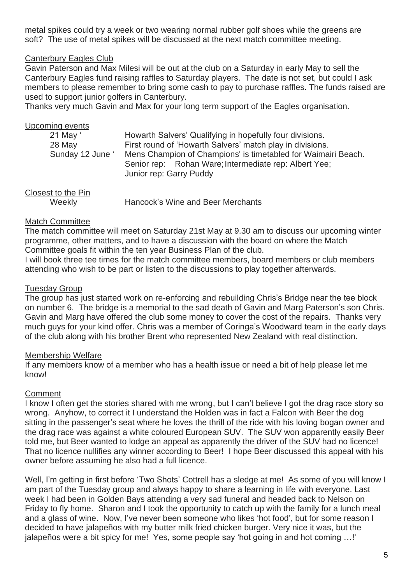metal spikes could try a week or two wearing normal rubber golf shoes while the greens are soft? The use of metal spikes will be discussed at the next match committee meeting.

### Canterbury Eagles Club

Gavin Paterson and Max Milesi will be out at the club on a Saturday in early May to sell the Canterbury Eagles fund raising raffles to Saturday players. The date is not set, but could I ask members to please remember to bring some cash to pay to purchase raffles. The funds raised are used to support junior golfers in Canterbury.

Thanks very much Gavin and Max for your long term support of the Eagles organisation.

| Upcoming events                        |                                                                                                                                                                                                                                                 |
|----------------------------------------|-------------------------------------------------------------------------------------------------------------------------------------------------------------------------------------------------------------------------------------------------|
| 21 May '<br>28 May<br>Sunday 12 June ' | Howarth Salvers' Qualifying in hopefully four divisions.<br>First round of 'Howarth Salvers' match play in divisions.<br>Mens Champion of Champions' is timetabled for Waimairi Beach.<br>Senior rep: Rohan Ware; Intermediate rep: Albert Yee; |
| Closest to the Pin                     | Junior rep: Garry Puddy                                                                                                                                                                                                                         |

| CIUSESI IU IIIE FIII |                                   |
|----------------------|-----------------------------------|
| Weekly               | Hancock's Wine and Beer Merchants |

### Match Committee

The match committee will meet on Saturday 21st May at 9.30 am to discuss our upcoming winter programme, other matters, and to have a discussion with the board on where the Match Committee goals fit within the ten year Business Plan of the club.

I will book three tee times for the match committee members, board members or club members attending who wish to be part or listen to the discussions to play together afterwards.

### Tuesday Group

The group has just started work on re-enforcing and rebuilding Chris's Bridge near the tee block on number 6. The bridge is a memorial to the sad death of Gavin and Marg Paterson's son Chris. Gavin and Marg have offered the club some money to cover the cost of the repairs. Thanks very much guys for your kind offer. Chris was a member of Coringa's Woodward team in the early days of the club along with his brother Brent who represented New Zealand with real distinction.

#### Membership Welfare

If any members know of a member who has a health issue or need a bit of help please let me know!

### **Comment**

I know I often get the stories shared with me wrong, but I can't believe I got the drag race story so wrong. Anyhow, to correct it I understand the Holden was in fact a Falcon with Beer the dog sitting in the passenger's seat where he loves the thrill of the ride with his loving bogan owner and the drag race was against a white coloured European SUV. The SUV won apparently easily Beer told me, but Beer wanted to lodge an appeal as apparently the driver of the SUV had no licence! That no licence nullifies any winner according to Beer! I hope Beer discussed this appeal with his owner before assuming he also had a full licence.

Well, I'm getting in first before 'Two Shots' Cottrell has a sledge at me! As some of you will know I am part of the Tuesday group and always happy to share a learning in life with everyone. Last week I had been in Golden Bays attending a very sad funeral and headed back to Nelson on Friday to fly home. Sharon and I took the opportunity to catch up with the family for a lunch meal and a glass of wine. Now, I've never been someone who likes 'hot food', but for some reason I decided to have jalapeños with my butter milk fried chicken burger. Very nice it was, but the jalapeños were a bit spicy for me! Yes, some people say 'hot going in and hot coming …!'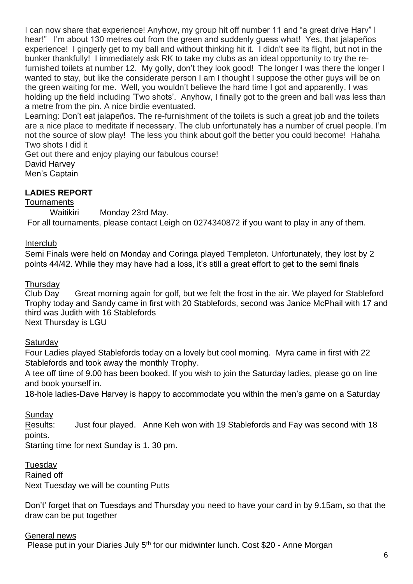I can now share that experience! Anyhow, my group hit off number 11 and "a great drive Harv" I hear!" I'm about 130 metres out from the green and suddenly guess what! Yes, that jalapeños experience! I gingerly get to my ball and without thinking hit it. I didn't see its flight, but not in the bunker thankfully! I immediately ask RK to take my clubs as an ideal opportunity to try the refurnished toilets at number 12. My golly, don't they look good! The longer I was there the longer I wanted to stay, but like the considerate person I am I thought I suppose the other guys will be on the green waiting for me. Well, you wouldn't believe the hard time I got and apparently, I was holding up the field including 'Two shots'. Anyhow, I finally got to the green and ball was less than a metre from the pin. A nice birdie eventuated.

Learning: Don't eat jalapeños. The re-furnishment of the toilets is such a great job and the toilets are a nice place to meditate if necessary. The club unfortunately has a number of cruel people. I'm not the source of slow play! The less you think about golf the better you could become! Hahaha Two shots I did it

Get out there and enjoy playing our fabulous course! David Harvey Men's Captain

# **LADIES REPORT**

### **Tournaments**

Waitikiri Monday 23rd May. For all tournaments, please contact Leigh on 0274340872 if you want to play in any of them.

# Interclub

Semi Finals were held on Monday and Coringa played Templeton. Unfortunately, they lost by 2 points 44/42. While they may have had a loss, it's still a great effort to get to the semi finals

# **Thursday**

Club Day Great morning again for golf, but we felt the frost in the air. We played for Stableford Trophy today and Sandy came in first with 20 Stablefords, second was Janice McPhail with 17 and third was Judith with 16 Stablefords

Next Thursday is LGU

# **Saturday**

Four Ladies played Stablefords today on a lovely but cool morning. Myra came in first with 22 Stablefords and took away the monthly Trophy.

A tee off time of 9.00 has been booked. If you wish to join the Saturday ladies, please go on line and book yourself in.

18-hole ladies-Dave Harvey is happy to accommodate you within the men's game on a Saturday

# **Sunday**

Results: Just four played. Anne Keh won with 19 Stablefords and Fay was second with 18 points.

Starting time for next Sunday is 1. 30 pm.

Tuesday

Rained off Next Tuesday we will be counting Putts

Don't' forget that on Tuesdays and Thursday you need to have your card in by 9.15am, so that the draw can be put together

### General news

Please put in your Diaries July 5<sup>th</sup> for our midwinter lunch. Cost \$20 - Anne Morgan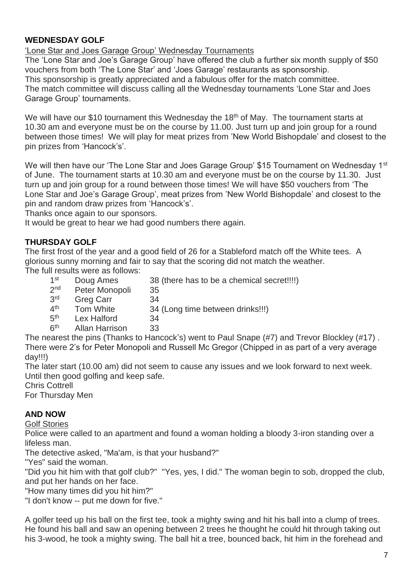# **WEDNESDAY GOLF**

'Lone Star and Joes Garage Group' Wednesday Tournaments

The 'Lone Star and Joe's Garage Group' have offered the club a further six month supply of \$50 vouchers from both 'The Lone Star' and 'Joes Garage' restaurants as sponsorship. This sponsorship is greatly appreciated and a fabulous offer for the match committee. The match committee will discuss calling all the Wednesday tournaments 'Lone Star and Joes Garage Group' tournaments.

We will have our \$10 tournament this Wednesday the 18<sup>th</sup> of May. The tournament starts at 10.30 am and everyone must be on the course by 11.00. Just turn up and join group for a round between those times! We will play for meat prizes from 'New World Bishopdale' and closest to the pin prizes from 'Hancock's'.

We will then have our 'The Lone Star and Joes Garage Group' \$15 Tournament on Wednesday 1<sup>st</sup> of June. The tournament starts at 10.30 am and everyone must be on the course by 11.30. Just turn up and join group for a round between those times! We will have \$50 vouchers from 'The Lone Star and Joe's Garage Group', meat prizes from 'New World Bishopdale' and closest to the pin and random draw prizes from 'Hancock's'.

Thanks once again to our sponsors.

It would be great to hear we had good numbers there again.

# **THURSDAY GOLF**

The first frost of the year and a good field of 26 for a Stableford match off the White tees. A glorious sunny morning and fair to say that the scoring did not match the weather. The full results were as follows:

 $1<sup>st</sup>$ 

- Doug Ames 38 (there has to be a chemical secret!!!!)
- $2<sub>nd</sub>$ Peter Monopoli 35
- 3rd Greg Carr 34
- $4<sup>th</sup>$ Tom White 34 (Long time between drinks!!!)
- $5<sup>th</sup>$ Lex Halford 34
- $6<sup>th</sup>$ Allan Harrison 33

The nearest the pins (Thanks to Hancock's) went to Paul Snape (#7) and Trevor Blockley (#17) . There were 2's for Peter Monopoli and Russell Mc Gregor (Chipped in as part of a very average day!!!)

The later start (10.00 am) did not seem to cause any issues and we look forward to next week. Until then good golfing and keep safe.

Chris Cottrell

For Thursday Men

### **AND NOW**

Golf Stories

Police were called to an apartment and found a woman holding a bloody 3-iron standing over a lifeless man.

The detective asked, "Ma'am, is that your husband?"

"Yes" said the woman.

"Did you hit him with that golf club?" "Yes, yes, I did." The woman begin to sob, dropped the club, and put her hands on her face.

"How many times did you hit him?"

"I don't know -- put me down for five."

A golfer teed up his ball on the first tee, took a mighty swing and hit his ball into a clump of trees. He found his ball and saw an opening between 2 trees he thought he could hit through taking out his 3-wood, he took a mighty swing. The ball hit a tree, bounced back, hit him in the forehead and